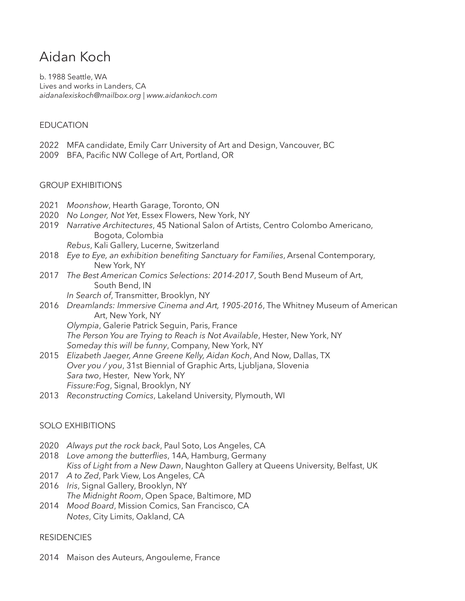# Aidan Koch

b. 1988 Seattle, WA Lives and works in Landers, CA  *aidanalexiskoch@mailbox.org | www.aidankoch.com* 

## EDUCATION

- 2022 MFA candidate, Emily Carr University of Art and Design, Vancouver, BC
- 2009 BFA, Pacific NW College of Art, Portland, OR

#### GROUP EXHIBITIONS

- 2021 *Moonshow*, Hearth Garage, Toronto, ON
- 2020 *No Longer, Not Yet*, Essex Flowers, New York, NY
- 2019 *Narrative Architectures*, 45 National Salon of Artists, Centro Colombo Americano, Bogota, Colombia
	- *Rebus*, Kali Gallery, Lucerne, Switzerland
- 2018 *Eye to Eye, an exhibition benefiting Sanctuary for Families*, Arsenal Contemporary, New York, NY
- 2017 *The Best American Comics Selections: 2014-2017*, South Bend Museum of Art, South Bend, IN
	- *In Search of*, Transmitter, Brooklyn, NY
- 2016 *Dreamlands: Immersive Cinema and Art, 1905-2016*, The Whitney Museum of American Art, New York, NY

*Olympia*, Galerie Patrick Seguin, Paris, France

*The Person You are Trying to Reach is Not Available*, Hester, New York, NY *Someday this will be funny*, Company, New York, NY

- 2015 *Elizabeth Jaeger, Anne Greene Kelly, Aidan Koch*, And Now, Dallas, TX *Over you / you*, 31st Biennial of Graphic Arts, Ljubljana, Slovenia *Sara two*, Hester, New York, NY *Fissure:Fog*, Signal, Brooklyn, NY
- 2013 *Reconstructing Comics*, Lakeland University, Plymouth, WI

### SOLO EXHIBITIONS

- 2020 *Always put the rock back*, Paul Soto, Los Angeles, CA
- 2018 *Love among the butterflies*, 14A, Hamburg, Germany *Kiss of Light from a New Dawn*, Naughton Gallery at Queens University, Belfast, UK
- 2017 *A to Zed*, Park View, Los Angeles, CA 2016 *Iris*, Signal Gallery, Brooklyn, NY *The Midnight Room*, Open Space, Baltimore, MD
- 2014 *Mood Board*, Mission Comics, San Francisco, CA *Notes*, City Limits, Oakland, CA

### **RESIDENCIES**

2014 Maison des Auteurs, Angouleme, France